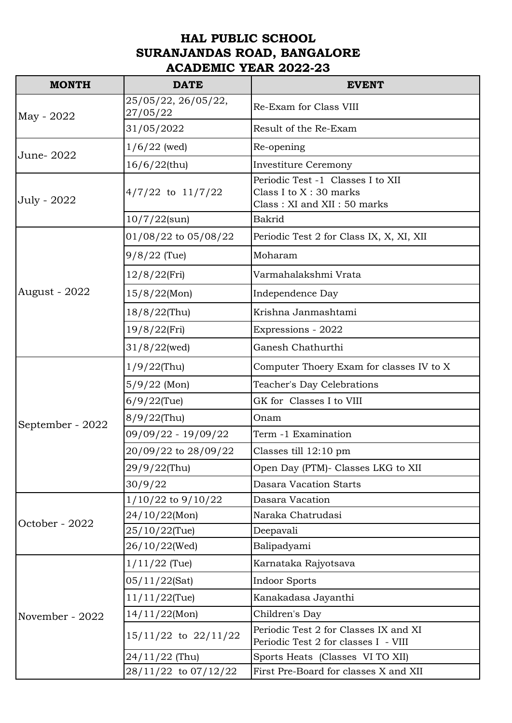## **HAL PUBLIC SCHOOL SURANJANDAS ROAD, BANGALORE ACADEMIC YEAR 2022-23**

| <b>MONTH</b>         | <b>DATE</b>                     | <b>EVENT</b>                                                                                |
|----------------------|---------------------------------|---------------------------------------------------------------------------------------------|
| May - 2022           | 25/05/22, 26/05/22,<br>27/05/22 | Re-Exam for Class VIII                                                                      |
|                      | 31/05/2022                      | Result of the Re-Exam                                                                       |
| June-2022            | $1/6/22$ (wed)                  | Re-opening                                                                                  |
|                      | 16/6/22(thu)                    | <b>Investiture Ceremony</b>                                                                 |
| July - 2022          | $4/7/22$ to $11/7/22$           | Periodic Test -1 Classes I to XII<br>Class I to $X:30$ marks<br>Class: XI and XII: 50 marks |
|                      | $10/7/22$ (sun)                 | <b>Bakrid</b>                                                                               |
| <b>August - 2022</b> | 01/08/22 to 05/08/22            | Periodic Test 2 for Class IX, X, XI, XII                                                    |
|                      | $9/8/22$ (Tue)                  | Moharam                                                                                     |
|                      | 12/8/22(Fri)                    | Varmahalakshmi Vrata                                                                        |
|                      | $15/8/22$ (Mon)                 | Independence Day                                                                            |
|                      | 18/8/22(Thu)                    | Krishna Janmashtami                                                                         |
|                      | 19/8/22(Fri)                    | Expressions - 2022                                                                          |
|                      | $31/8/22$ (wed)                 | Ganesh Chathurthi                                                                           |
|                      | $1/9/22$ (Thu)                  | Computer Thoery Exam for classes IV to X                                                    |
|                      | $5/9/22$ (Mon)                  | Teacher's Day Celebrations                                                                  |
|                      | $6/9/22$ (Tue)                  | GK for Classes I to VIII                                                                    |
|                      | 8/9/22(Thu)                     | Onam                                                                                        |
| September - 2022     | 09/09/22 - 19/09/22             | Term -1 Examination                                                                         |
|                      | 20/09/22 to 28/09/22            | Classes till $12:10 \text{ pm}$                                                             |
|                      | 29/9/22(Thu)                    | Open Day (PTM)- Classes LKG to XII                                                          |
|                      | 30/9/22                         | <b>Dasara Vacation Starts</b>                                                               |
| October - 2022       | $1/10/22$ to $9/10/22$          | Dasara Vacation                                                                             |
|                      | 24/10/22(Mon)                   | Naraka Chatrudasi                                                                           |
|                      | 25/10/22(Tue)                   | Deepavali                                                                                   |
|                      | 26/10/22(Wed)                   | Balipadyami                                                                                 |
| November - 2022      | $1/11/22$ (Tue)                 | Karnataka Rajyotsava                                                                        |
|                      | 05/11/22(Sat)                   | <b>Indoor Sports</b>                                                                        |
|                      | $11/11/22$ (Tue)                | Kanakadasa Jayanthi                                                                         |
|                      | 14/11/22(Mon)                   | Children's Day                                                                              |
|                      | $15/11/22$ to $22/11/22$        | Periodic Test 2 for Classes IX and XI<br>Periodic Test 2 for classes I - VIII               |
|                      | $24/11/22$ (Thu)                | Sports Heats (Classes VI TO XII)                                                            |
|                      | 28/11/22 to 07/12/22            | First Pre-Board for classes X and XII                                                       |